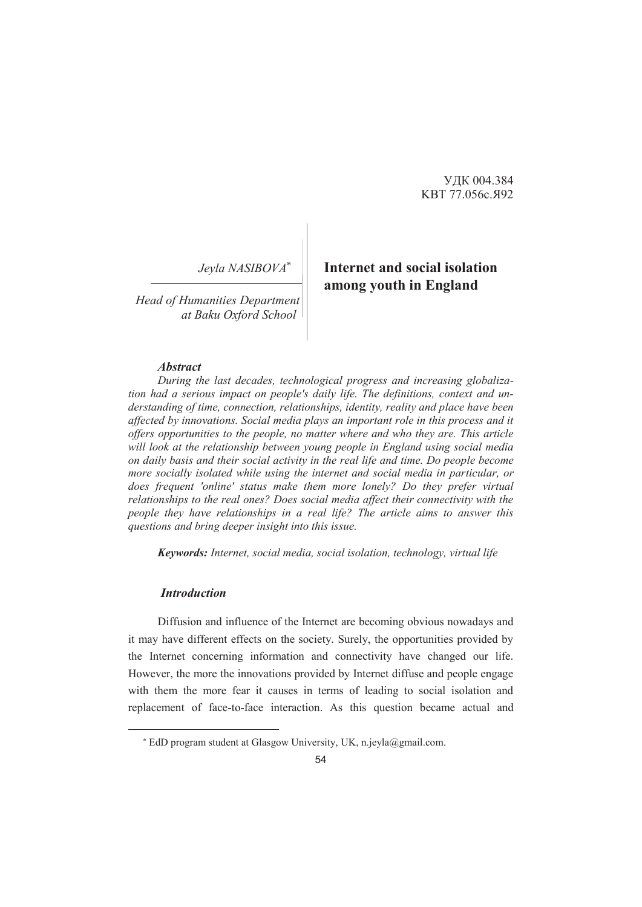УДК 004.384 KBT 77.056с.Я92

*Jeyla NASIBOVA*

*Head of Humanities Department at Baku Oxford School* 

# **Internet and social isolation among youth in England**

#### *Abstract*

*During the last decades, technological progress and increasing globalization had a serious impact on people's daily life. The definitions, context and understanding of time, connection, relationships, identity, reality and place have been affected by innovations. Social media plays an important role in this process and it offers opportunities to the people, no matter where and who they are. This article will look at the relationship between young people in England using social media on daily basis and their social activity in the real life and time. Do people become more socially isolated while using the internet and social media in particular, or does frequent 'online' status make them more lonely? Do they prefer virtual relationships to the real ones? Does social media affect their connectivity with the people they have relationships in a real life? The article aims to answer this questions and bring deeper insight into this issue.* 

*Keywords: Internet, social media, social isolation, technology, virtual life* 

#### *Introduction*

-

Diffusion and influence of the Internet are becoming obvious nowadays and it may have different effects on the society. Surely, the opportunities provided by the Internet concerning information and connectivity have changed our life. However, the more the innovations provided by Internet diffuse and people engage with them the more fear it causes in terms of leading to social isolation and replacement of face-to-face interaction. As this question became actual and

 EdD program student at Glasgow University, UK, n.jeyla@gmail.com.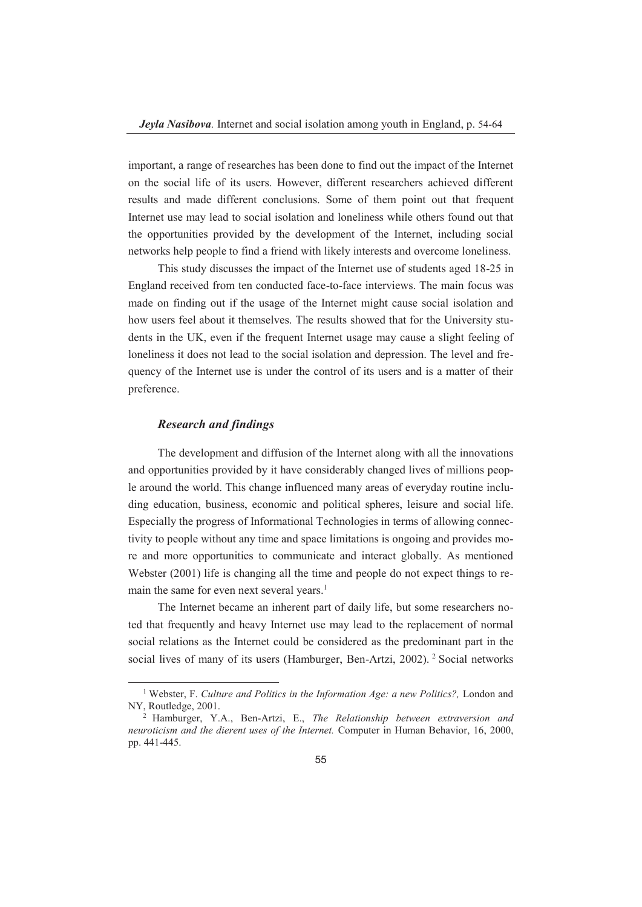important, a range of researches has been done to find out the impact of the Internet on the social life of its users. However, different researchers achieved different results and made different conclusions. Some of them point out that frequent Internet use may lead to social isolation and loneliness while others found out that the opportunities provided by the development of the Internet, including social networks help people to find a friend with likely interests and overcome loneliness.

This study discusses the impact of the Internet use of students aged 18-25 in England received from ten conducted face-to-face interviews. The main focus was made on finding out if the usage of the Internet might cause social isolation and how users feel about it themselves. The results showed that for the University students in the UK, even if the frequent Internet usage may cause a slight feeling of loneliness it does not lead to the social isolation and depression. The level and frequency of the Internet use is under the control of its users and is a matter of their preference.

#### *Research and findings*

The development and diffusion of the Internet along with all the innovations and opportunities provided by it have considerably changed lives of millions people around the world. This change influenced many areas of everyday routine including education, business, economic and political spheres, leisure and social life. Especially the progress of Informational Technologies in terms of allowing connectivity to people without any time and space limitations is ongoing and provides more and more opportunities to communicate and interact globally. As mentioned Webster (2001) life is changing all the time and people do not expect things to remain the same for even next several years.<sup>1</sup>

The Internet became an inherent part of daily life, but some researchers noted that frequently and heavy Internet use may lead to the replacement of normal social relations as the Internet could be considered as the predominant part in the social lives of many of its users (Hamburger, Ben-Artzi, 2002). 2 Social networks

 <sup>1</sup> Webster, F. *Culture and Politics in the Information Age: a new Politics?,* London and NY, Routledge, 2001.

<sup>2</sup> Hamburger, Y.A., Ben-Artzi, E., *The Relationship between extraversion and neuroticism and the dierent uses of the Internet.* Computer in Human Behavior, 16, 2000, pp. 441-445.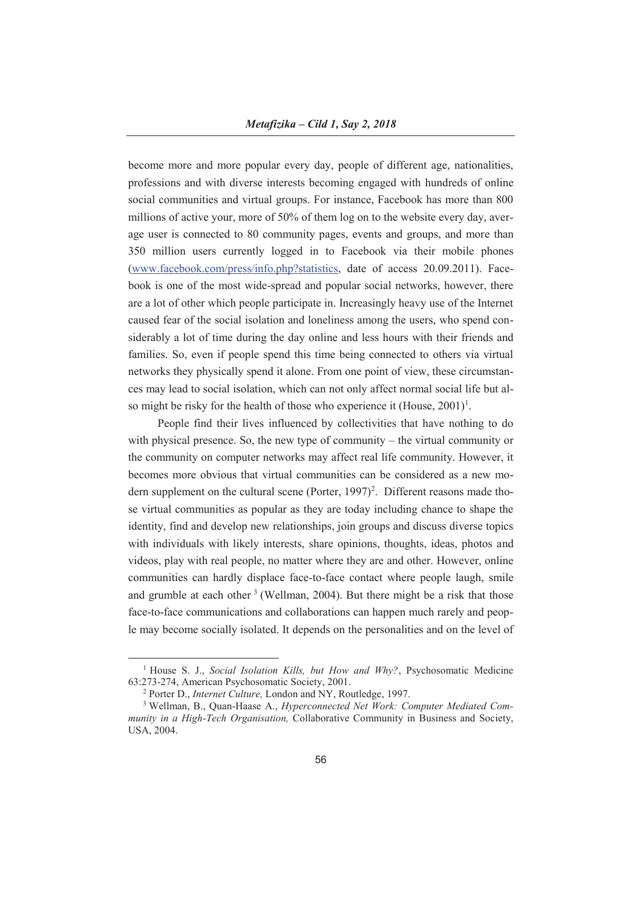become more and more popular every day, people of different age, nationalities, professions and with diverse interests becoming engaged with hundreds of online social communities and virtual groups. For instance, Facebook has more than 800 millions of active your, more of 50% of them log on to the website every day, average user is connected to 80 community pages, events and groups, and more than 350 million users currently logged in to Facebook via their mobile phones (www.facebook.com/press/info.php?statistics, date of access 20.09.2011). Facebook is one of the most wide-spread and popular social networks, however, there are a lot of other which people participate in. Increasingly heavy use of the Internet caused fear of the social isolation and loneliness among the users, who spend considerably a lot of time during the day online and less hours with their friends and families. So, even if people spend this time being connected to others via virtual networks they physically spend it alone. From one point of view, these circumstances may lead to social isolation, which can not only affect normal social life but also might be risky for the health of those who experience it (House,  $2001$ )<sup>1</sup>.

People find their lives influenced by collectivities that have nothing to do with physical presence. So, the new type of community – the virtual community or the community on computer networks may affect real life community. However, it becomes more obvious that virtual communities can be considered as a new modern supplement on the cultural scene (Porter, 1997)<sup>2</sup>. Different reasons made those virtual communities as popular as they are today including chance to shape the identity, find and develop new relationships, join groups and discuss diverse topics with individuals with likely interests, share opinions, thoughts, ideas, photos and videos, play with real people, no matter where they are and other. However, online communities can hardly displace face-to-face contact where people laugh, smile and grumble at each other  $3$  (Wellman, 2004). But there might be a risk that those face-to-face communications and collaborations can happen much rarely and people may become socially isolated. It depends on the personalities and on the level of

 <sup>1</sup> House S. J., *Social Isolation Kills, but How and Why?*, Psychosomatic Medicine 63:273-274, American Psychosomatic Society, 2001.

<sup>2</sup> Porter D., *Internet Culture,* London and NY, Routledge, 1997.

<sup>3</sup> Wellman, B., Quan-Haase A., *Hyperconnected Net Work: Computer Mediated Community in a High-Tech Organisation,* Collaborative Community in Business and Society, USA, 2004.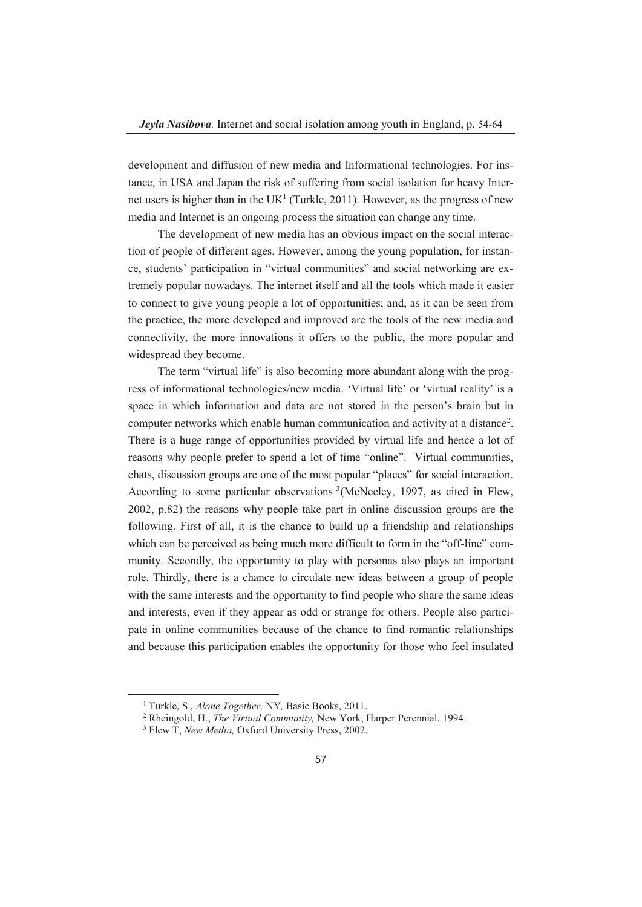development and diffusion of new media and Informational technologies. For instance, in USA and Japan the risk of suffering from social isolation for heavy Internet users is higher than in the UK<sup>1</sup> (Turkle, 2011). However, as the progress of new media and Internet is an ongoing process the situation can change any time.

The development of new media has an obvious impact on the social interaction of people of different ages. However, among the young population, for instance, students' participation in "virtual communities" and social networking are extremely popular nowadays. The internet itself and all the tools which made it easier to connect to give young people a lot of opportunities; and, as it can be seen from the practice, the more developed and improved are the tools of the new media and connectivity, the more innovations it offers to the public, the more popular and widespread they become.

The term "virtual life" is also becoming more abundant along with the progress of informational technologies/new media. 'Virtual life' or 'virtual reality' is a space in which information and data are not stored in the person's brain but in computer networks which enable human communication and activity at a distance<sup>2</sup>. There is a huge range of opportunities provided by virtual life and hence a lot of reasons why people prefer to spend a lot of time "online". Virtual communities, chats, discussion groups are one of the most popular "places" for social interaction. According to some particular observations 3 (McNeeley, 1997, as cited in Flew, 2002, p.82) the reasons why people take part in online discussion groups are the following. First of all, it is the chance to build up a friendship and relationships which can be perceived as being much more difficult to form in the "off-line" community. Secondly, the opportunity to play with personas also plays an important role. Thirdly, there is a chance to circulate new ideas between a group of people with the same interests and the opportunity to find people who share the same ideas and interests, even if they appear as odd or strange for others. People also participate in online communities because of the chance to find romantic relationships and because this participation enables the opportunity for those who feel insulated

 $\frac{1}{1}$ Turkle, S., *Alone Together,* NY*,* Basic Books, 2011.

<sup>2</sup> Rheingold, H., *The Virtual Community,* New York, Harper Perennial, 1994.

<sup>3</sup> Flew T, *New Media,* Oxford University Press, 2002.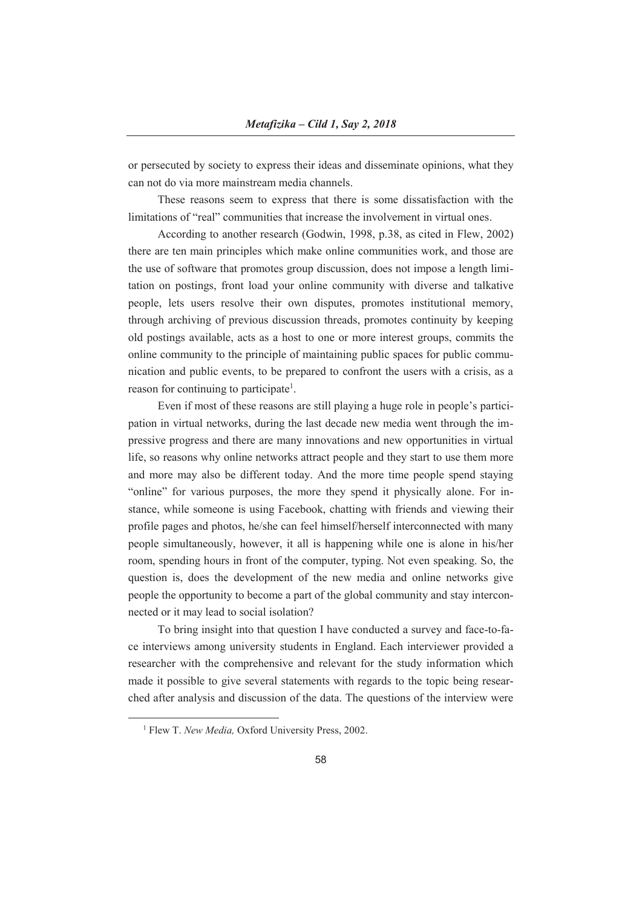or persecuted by society to express their ideas and disseminate opinions, what they can not do via more mainstream media channels.

These reasons seem to express that there is some dissatisfaction with the limitations of "real" communities that increase the involvement in virtual ones.

According to another research (Godwin, 1998, p.38, as cited in Flew, 2002) there are ten main principles which make online communities work, and those are the use of software that promotes group discussion, does not impose a length limitation on postings, front load your online community with diverse and talkative people, lets users resolve their own disputes, promotes institutional memory, through archiving of previous discussion threads, promotes continuity by keeping old postings available, acts as a host to one or more interest groups, commits the online community to the principle of maintaining public spaces for public communication and public events, to be prepared to confront the users with a crisis, as a reason for continuing to participate<sup>1</sup>.

Even if most of these reasons are still playing a huge role in people's participation in virtual networks, during the last decade new media went through the impressive progress and there are many innovations and new opportunities in virtual life, so reasons why online networks attract people and they start to use them more and more may also be different today. And the more time people spend staying "online" for various purposes, the more they spend it physically alone. For instance, while someone is using Facebook, chatting with friends and viewing their profile pages and photos, he/she can feel himself/herself interconnected with many people simultaneously, however, it all is happening while one is alone in his/her room, spending hours in front of the computer, typing. Not even speaking. So, the question is, does the development of the new media and online networks give people the opportunity to become a part of the global community and stay interconnected or it may lead to social isolation?

To bring insight into that question I have conducted a survey and face-to-face interviews among university students in England. Each interviewer provided a researcher with the comprehensive and relevant for the study information which made it possible to give several statements with regards to the topic being researched after analysis and discussion of the data. The questions of the interview were

 $\frac{1}{1}$ <sup>1</sup> Flew T. *New Media*, Oxford University Press, 2002.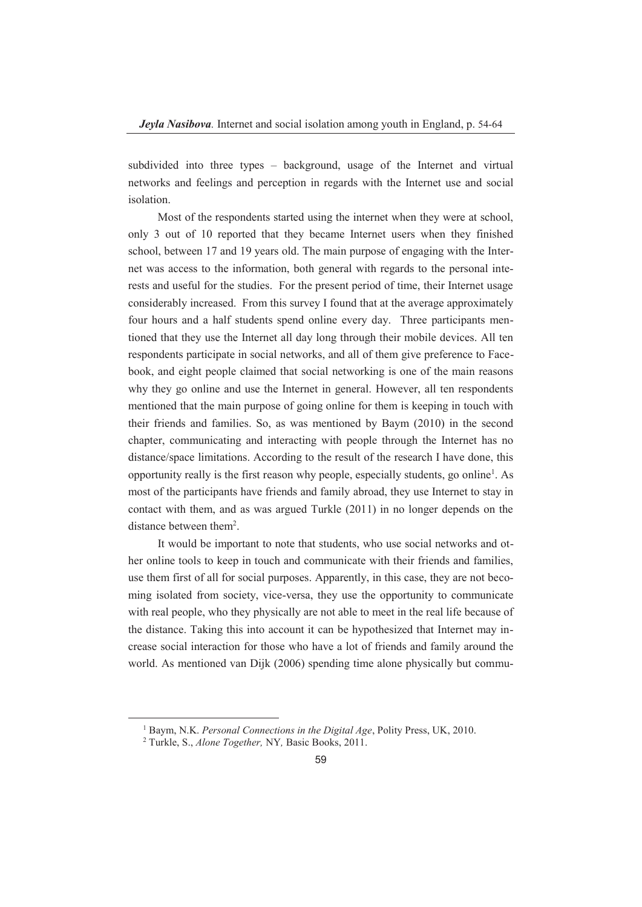subdivided into three types – background, usage of the Internet and virtual networks and feelings and perception in regards with the Internet use and social isolation.

Most of the respondents started using the internet when they were at school, only 3 out of 10 reported that they became Internet users when they finished school, between 17 and 19 years old. The main purpose of engaging with the Internet was access to the information, both general with regards to the personal interests and useful for the studies. For the present period of time, their Internet usage considerably increased. From this survey I found that at the average approximately four hours and a half students spend online every day. Three participants mentioned that they use the Internet all day long through their mobile devices. All ten respondents participate in social networks, and all of them give preference to Facebook, and eight people claimed that social networking is one of the main reasons why they go online and use the Internet in general. However, all ten respondents mentioned that the main purpose of going online for them is keeping in touch with their friends and families. So, as was mentioned by Baym (2010) in the second chapter, communicating and interacting with people through the Internet has no distance/space limitations. According to the result of the research I have done, this opportunity really is the first reason why people, especially students, go online1 . As most of the participants have friends and family abroad, they use Internet to stay in contact with them, and as was argued Turkle (2011) in no longer depends on the distance between them<sup>2</sup>.

It would be important to note that students, who use social networks and other online tools to keep in touch and communicate with their friends and families, use them first of all for social purposes. Apparently, in this case, they are not becoming isolated from society, vice-versa, they use the opportunity to communicate with real people, who they physically are not able to meet in the real life because of the distance. Taking this into account it can be hypothesized that Internet may increase social interaction for those who have a lot of friends and family around the world. As mentioned van Dijk (2006) spending time alone physically but commu-

 $\frac{1}{1}$ Baym, N.K. *Personal Connections in the Digital Age*, Polity Press, UK, 2010.

<sup>2</sup> Turkle, S., *Alone Together,* NY*,* Basic Books, 2011.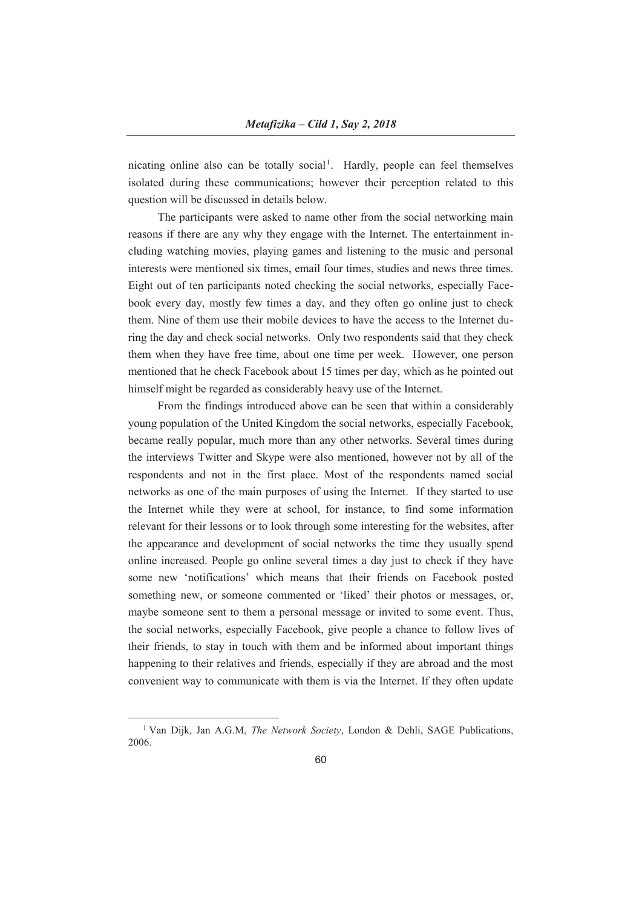nicating online also can be totally social<sup>1</sup>. Hardly, people can feel themselves isolated during these communications; however their perception related to this question will be discussed in details below.

The participants were asked to name other from the social networking main reasons if there are any why they engage with the Internet. The entertainment including watching movies, playing games and listening to the music and personal interests were mentioned six times, email four times, studies and news three times. Eight out of ten participants noted checking the social networks, especially Facebook every day, mostly few times a day, and they often go online just to check them. Nine of them use their mobile devices to have the access to the Internet during the day and check social networks. Only two respondents said that they check them when they have free time, about one time per week. However, one person mentioned that he check Facebook about 15 times per day, which as he pointed out himself might be regarded as considerably heavy use of the Internet.

From the findings introduced above can be seen that within a considerably young population of the United Kingdom the social networks, especially Facebook, became really popular, much more than any other networks. Several times during the interviews Twitter and Skype were also mentioned, however not by all of the respondents and not in the first place. Most of the respondents named social networks as one of the main purposes of using the Internet. If they started to use the Internet while they were at school, for instance, to find some information relevant for their lessons or to look through some interesting for the websites, after the appearance and development of social networks the time they usually spend online increased. People go online several times a day just to check if they have some new 'notifications' which means that their friends on Facebook posted something new, or someone commented or 'liked' their photos or messages, or, maybe someone sent to them a personal message or invited to some event. Thus, the social networks, especially Facebook, give people a chance to follow lives of their friends, to stay in touch with them and be informed about important things happening to their relatives and friends, especially if they are abroad and the most convenient way to communicate with them is via the Internet. If they often update

 <sup>1</sup> Van Dijk, Jan A.G.M, *The Network Society*, London & Dehli, SAGE Publications, 2006.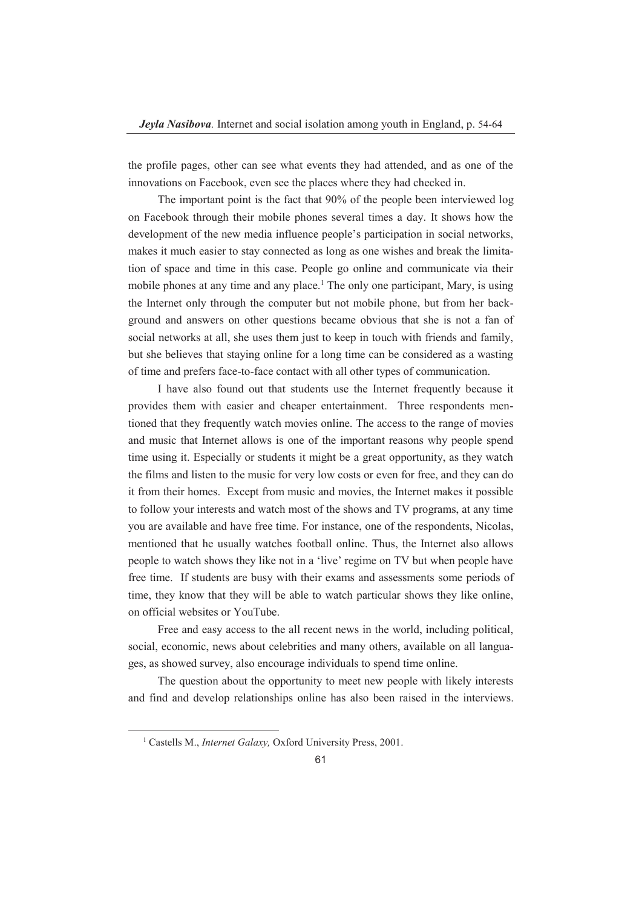the profile pages, other can see what events they had attended, and as one of the innovations on Facebook, even see the places where they had checked in.

The important point is the fact that 90% of the people been interviewed log on Facebook through their mobile phones several times a day. It shows how the development of the new media influence people's participation in social networks, makes it much easier to stay connected as long as one wishes and break the limitation of space and time in this case. People go online and communicate via their mobile phones at any time and any place.<sup>1</sup> The only one participant, Mary, is using the Internet only through the computer but not mobile phone, but from her background and answers on other questions became obvious that she is not a fan of social networks at all, she uses them just to keep in touch with friends and family, but she believes that staying online for a long time can be considered as a wasting of time and prefers face-to-face contact with all other types of communication.

I have also found out that students use the Internet frequently because it provides them with easier and cheaper entertainment. Three respondents mentioned that they frequently watch movies online. The access to the range of movies and music that Internet allows is one of the important reasons why people spend time using it. Especially or students it might be a great opportunity, as they watch the films and listen to the music for very low costs or even for free, and they can do it from their homes. Except from music and movies, the Internet makes it possible to follow your interests and watch most of the shows and TV programs, at any time you are available and have free time. For instance, one of the respondents, Nicolas, mentioned that he usually watches football online. Thus, the Internet also allows people to watch shows they like not in a 'live' regime on TV but when people have free time. If students are busy with their exams and assessments some periods of time, they know that they will be able to watch particular shows they like online, on official websites or YouTube.

Free and easy access to the all recent news in the world, including political, social, economic, news about celebrities and many others, available on all languages, as showed survey, also encourage individuals to spend time online.

The question about the opportunity to meet new people with likely interests and find and develop relationships online has also been raised in the interviews.

 <sup>1</sup> Castells M., *Internet Galaxy,* Oxford University Press, 2001.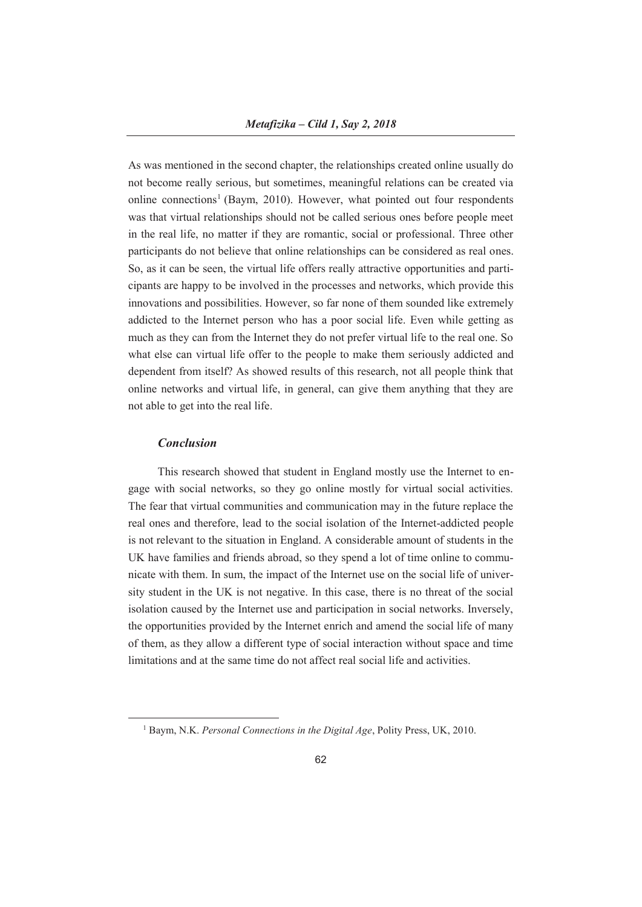As was mentioned in the second chapter, the relationships created online usually do not become really serious, but sometimes, meaningful relations can be created via online connections<sup>1</sup> (Baym, 2010). However, what pointed out four respondents was that virtual relationships should not be called serious ones before people meet in the real life, no matter if they are romantic, social or professional. Three other participants do not believe that online relationships can be considered as real ones. So, as it can be seen, the virtual life offers really attractive opportunities and participants are happy to be involved in the processes and networks, which provide this innovations and possibilities. However, so far none of them sounded like extremely addicted to the Internet person who has a poor social life. Even while getting as much as they can from the Internet they do not prefer virtual life to the real one. So what else can virtual life offer to the people to make them seriously addicted and dependent from itself? As showed results of this research, not all people think that online networks and virtual life, in general, can give them anything that they are not able to get into the real life.

## *Conclusion*

This research showed that student in England mostly use the Internet to engage with social networks, so they go online mostly for virtual social activities. The fear that virtual communities and communication may in the future replace the real ones and therefore, lead to the social isolation of the Internet-addicted people is not relevant to the situation in England. A considerable amount of students in the UK have families and friends abroad, so they spend a lot of time online to communicate with them. In sum, the impact of the Internet use on the social life of university student in the UK is not negative. In this case, there is no threat of the social isolation caused by the Internet use and participation in social networks. Inversely, the opportunities provided by the Internet enrich and amend the social life of many of them, as they allow a different type of social interaction without space and time limitations and at the same time do not affect real social life and activities.

 $\frac{1}{1}$ Baym, N.K. *Personal Connections in the Digital Age*, Polity Press, UK, 2010.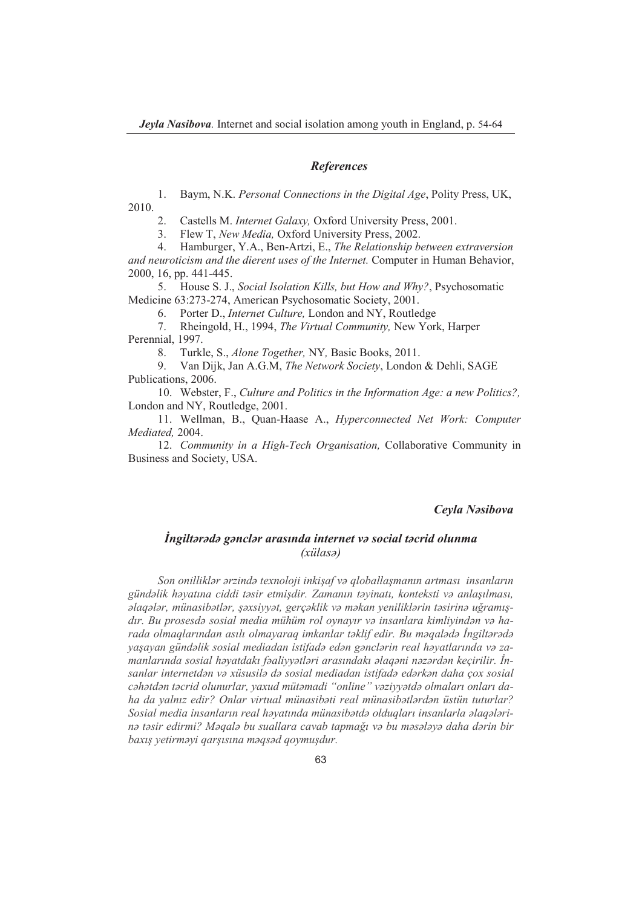#### *References*

1. Baym, N.K. *Personal Connections in the Digital Age*, Polity Press, UK, 2010.

2. Castells M. *Internet Galaxy,* Oxford University Press, 2001.

3. Flew T, *New Media,* Oxford University Press, 2002.

4. Hamburger, Y.A., Ben-Artzi, E., *The Relationship between extraversion and neuroticism and the dierent uses of the Internet.* Computer in Human Behavior, 2000, 16, pp. 441-445.

5. House S. J., *Social Isolation Kills, but How and Why?*, Psychosomatic Medicine 63:273-274, American Psychosomatic Society, 2001.

6. Porter D., *Internet Culture,* London and NY, Routledge

7. Rheingold, H., 1994, *The Virtual Community,* New York, Harper Perennial, 1997.

8. Turkle, S., *Alone Together,* NY*,* Basic Books, 2011.

9. Van Dijk, Jan A.G.M, *The Network Society*, London & Dehli, SAGE Publications, 2006.

10. Webster, F., *Culture and Politics in the Information Age: a new Politics?,*  London and NY, Routledge, 2001.

11. Wellman, B., Quan-Haase A., *Hyperconnected Net Work: Computer Mediated,* 2004.

12. *Community in a High-Tech Organisation,* Collaborative Community in Business and Society, USA.

## *Ceyla Nəsibova*

# *İngiltərədə gənclər arasında internet və social təcrid olunma (xülasə)*

*Son onilliklər ərzində texnoloji inkişaf və qloballaşmanın artması insanların gündəlik həyatına ciddi təsir etmişdir. Zamanın təyinatı, konteksti və anlaşılması,*  alaqalar, münasibatlar, şaxsiyyət, gerçəklik və məkan yeniliklərin təsirinə uğramış*dır. Bu prosesdə sosial media mühüm rol oynayır və insanlara kimliyindən və harada olmaqlarından asılı olmayaraq imkanlar təklif edir. Bu məqalədə İngiltərədə yaşayan gündəlik sosial mediadan istifadə edən gənclərin real həyatlarında və za*manlarında sosial həyatdakı fəaliyyətləri arasındakı əlaqəni nəzərdən keçirilir. İn*sanlar internetdən və xüsusilə də sosial mediadan istifadə edərkən daha çox sosial cəhətdən təcrid olunurlar, yaxud mütəmadi "online" vəziyyətdə olmaları onları daha da yalnız edir? Onlar virtual münasibəti real münasibətlərdən üstün tuturlar? Sosial media insanların real həyatında münasibətdə olduqları insanlarla əlaqələri*nə təsir edirmi? Məqalə bu suallara cavab tapmağı və bu məsələyə daha dərin bir *baxış yetirməyi qarşısına məqsəd qoymuşdur.*